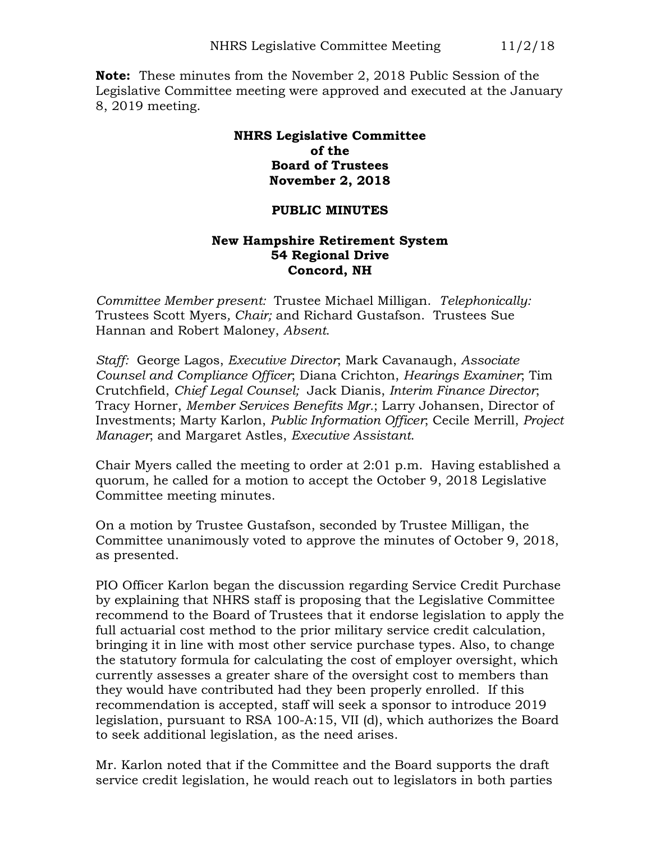**Note:** These minutes from the November 2, 2018 Public Session of the Legislative Committee meeting were approved and executed at the January 8, 2019 meeting.

## **NHRS Legislative Committee of the Board of Trustees November 2, 2018**

## **PUBLIC MINUTES**

## **New Hampshire Retirement System 54 Regional Drive Concord, NH**

*Committee Member present:* Trustee Michael Milligan. *Telephonically:*  Trustees Scott Myers*, Chair;* and Richard Gustafson. Trustees Sue Hannan and Robert Maloney, *Absent*.

*Staff:* George Lagos, *Executive Director*; Mark Cavanaugh, *Associate Counsel and Compliance Officer*; Diana Crichton, *Hearings Examiner*; Tim Crutchfield, *Chief Legal Counsel;* Jack Dianis, *Interim Finance Director*; Tracy Horner, *Member Services Benefits Mgr.*; Larry Johansen, Director of Investments; Marty Karlon, *Public Information Officer*; Cecile Merrill, *Project Manager*; and Margaret Astles, *Executive Assistant*.

Chair Myers called the meeting to order at 2:01 p.m. Having established a quorum, he called for a motion to accept the October 9, 2018 Legislative Committee meeting minutes.

On a motion by Trustee Gustafson, seconded by Trustee Milligan, the Committee unanimously voted to approve the minutes of October 9, 2018, as presented.

PIO Officer Karlon began the discussion regarding Service Credit Purchase by explaining that NHRS staff is proposing that the Legislative Committee recommend to the Board of Trustees that it endorse legislation to apply the full actuarial cost method to the prior military service credit calculation, bringing it in line with most other service purchase types. Also, to change the statutory formula for calculating the cost of employer oversight, which currently assesses a greater share of the oversight cost to members than they would have contributed had they been properly enrolled. If this recommendation is accepted, staff will seek a sponsor to introduce 2019 legislation, pursuant to RSA 100-A:15, VII (d), which authorizes the Board to seek additional legislation, as the need arises.

Mr. Karlon noted that if the Committee and the Board supports the draft service credit legislation, he would reach out to legislators in both parties